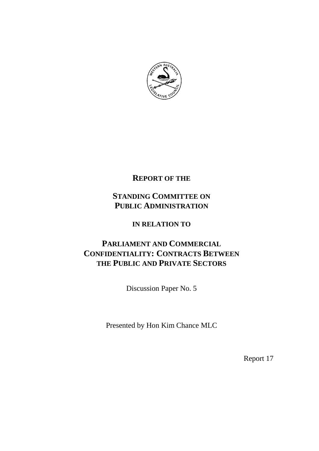

# **REPORT OF THE**

# **STANDING COMMITTEE ON PUBLIC ADMINISTRATION**

# **IN RELATION TO**

# **PARLIAMENT AND COMMERCIAL CONFIDENTIALITY: CONTRACTS BETWEEN THE PUBLIC AND PRIVATE SECTORS**

Discussion Paper No. 5

Presented by Hon Kim Chance MLC

Report 17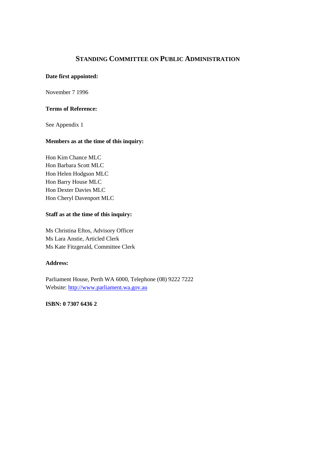# **STANDING COMMITTEE ON PUBLIC ADMINISTRATION**

## **Date first appointed:**

November 7 1996

### **Terms of Reference:**

See Appendix 1

# **Members as at the time of this inquiry:**

Hon Kim Chance MLC Hon Barbara Scott MLC Hon Helen Hodgson MLC Hon Barry House MLC Hon Dexter Davies MLC Hon Cheryl Davenport MLC

# **Staff as at the time of this inquiry:**

Ms Christina Eftos, Advisory Officer Ms Lara Anstie, Articled Clerk Ms Kate Fitzgerald, Committee Clerk

#### **Address:**

Parliament House, Perth WA 6000, Telephone (08) 9222 7222 Website: http://www.parliament.wa.gov.au

# **ISBN: 0 7307 6436 2**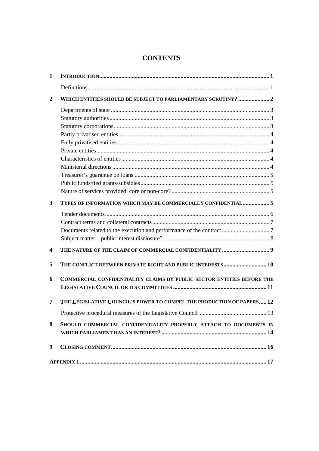# **CONTENTS**

| 1                       |                                                                        |      |
|-------------------------|------------------------------------------------------------------------|------|
|                         |                                                                        |      |
| $\mathbf{2}$            | WHICH ENTITIES SHOULD BE SUBJECT TO PARLIAMENTARY SCRUTINY?  2         |      |
|                         |                                                                        |      |
|                         |                                                                        |      |
|                         |                                                                        |      |
|                         |                                                                        |      |
|                         |                                                                        |      |
|                         |                                                                        |      |
|                         |                                                                        |      |
|                         |                                                                        |      |
|                         |                                                                        |      |
|                         |                                                                        |      |
|                         |                                                                        |      |
| 3                       | TYPES OF INFORMATION WHICH MAY BE COMMERCIALLY CONFIDENTIAL 5          |      |
|                         |                                                                        |      |
|                         |                                                                        |      |
|                         |                                                                        |      |
|                         |                                                                        |      |
| $\overline{\mathbf{4}}$ |                                                                        |      |
| 5                       | THE CONFLICT BETWEEN PRIVATE RIGHT AND PUBLIC INTERESTS 10             |      |
| 6                       | COMMERCIAL CONFIDENTIALITY CLAIMS BY PUBLIC SECTOR ENTITIES BEFORE THE |      |
|                         |                                                                        |      |
| 7                       | THE LEGISLATIVE COUNCIL'S POWER TO COMPEL THE PRODUCTION OF PAPERS 12  |      |
|                         |                                                                        | . 13 |
| 8                       | SHOULD COMMERCIAL CONFIDENTIALITY PROPERLY ATTACH TO DOCUMENTS IN      |      |
|                         |                                                                        |      |
| 9                       |                                                                        |      |
|                         |                                                                        |      |
|                         |                                                                        |      |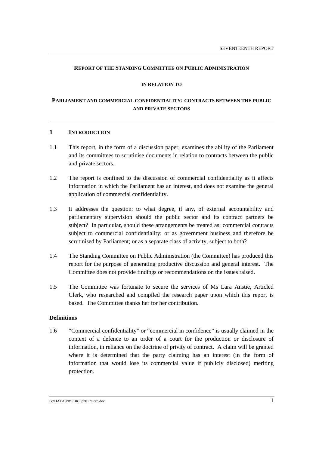#### **REPORT OF THE STANDING COMMITTEE ON PUBLIC ADMINISTRATION**

#### **IN RELATION TO**

# **PARLIAMENT AND COMMERCIAL CONFIDENTIALITY: CONTRACTS BETWEEN THE PUBLIC AND PRIVATE SECTORS**

## **1 INTRODUCTION**

- 1.1 This report, in the form of a discussion paper, examines the ability of the Parliament and its committees to scrutinise documents in relation to contracts between the public and private sectors.
- 1.2 The report is confined to the discussion of commercial confidentiality as it affects information in which the Parliament has an interest, and does not examine the general application of commercial confidentiality.
- 1.3 It addresses the question: to what degree, if any, of external accountability and parliamentary supervision should the public sector and its contract partners be subject? In particular, should these arrangements be treated as: commercial contracts subject to commercial confidentiality; or as government business and therefore be scrutinised by Parliament; or as a separate class of activity, subject to both?
- 1.4 The Standing Committee on Public Administration (the Committee) has produced this report for the purpose of generating productive discussion and general interest. The Committee does not provide findings or recommendations on the issues raised.
- 1.5 The Committee was fortunate to secure the services of Ms Lara Anstie, Articled Clerk, who researched and compiled the research paper upon which this report is based. The Committee thanks her for her contribution.

# **Definitions**

1.6 "Commercial confidentiality" or "commercial in confidence" is usually claimed in the context of a defence to an order of a court for the production or disclosure of information, in reliance on the doctrine of privity of contract. A claim will be granted where it is determined that the party claiming has an interest (in the form of information that would lose its commercial value if publicly disclosed) meriting protection.

G:\DATA\PB\PBRP\pb017cicrp.doc 1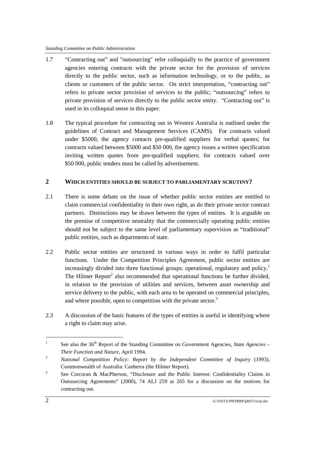- 1.7 "Contracting out" and "outsourcing" refer colloquially to the practice of government agencies entering contracts with the private sector for the provision of services directly to the public sector, such as information technology, or to the public, as clients or customers of the public sector. On strict interpretation, "contracting out" refers to private sector provision of services to the public; "outsourcing" refers to private provision of services directly to the public sector entity. "Contracting out" is used in its colloquial sense in this paper.
- 1.8 The typical procedure for contracting out in Western Australia is outlined under the guidelines of Contract and Management Services (CAMS). For contracts valued under \$5000, the agency contacts pre-qualified suppliers for verbal quotes; for contracts valued between \$5000 and \$50 000, the agency issues a written specification inviting written quotes from pre-qualified suppliers; for contracts valued over \$50 000, public tenders must be called by advertisement.

# **2 WHICH ENTITIES SHOULD BE SUBJECT TO PARLIAMENTARY SCRUTINY?**

- 2.1 There is some debate on the issue of whether public sector entities are entitled to claim commercial confidentiality in their own right, as do their private sector contract partners. Distinctions may be drawn between the types of entities. It is arguable on the premise of competitive neutrality that the commercially operating public entities should not be subject to the same level of parliamentary supervision as "traditional" public entities, such as departments of state.
- 2.2 Public sector entities are structured in various ways in order to fulfil particular functions. Under the Competition Principles Agreement, public sector entities are increasingly divided into three functional groups: operational, regulatory and policy.<sup>1</sup> The Hilmer Report<sup>2</sup> also recommended that operational functions be further divided, in relation to the provision of utilities and services, between asset ownership and service delivery to the public, with each area to be operated on commercial principles, and where possible, open to competition with the private sector.<sup>3</sup>
- 2.3 A discussion of the basic features of the types of entities is useful in identifying where a right to claim may arise.

<sup>1</sup> See also the 36<sup>th</sup> Report of the Standing Committee on Government Agencies, *State Agencies* – *Their Function and Nature*, April 1994.

<sup>2</sup> *National Competition Policy: Report by the Independent Committee of Inquiry* (1993), Commonwealth of Australia: Canberra (the Hilmer Report).

<sup>3</sup> See Corcoran & MacPherson, "Disclosure and the Public Interest: Confidentiality Claims in Outsourcing Agreements" (2000), 74 ALJ 259 at 265 for a discussion on the motives for contracting out.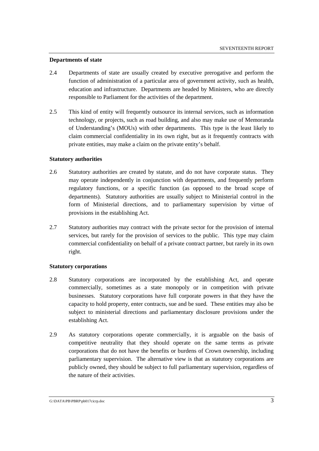#### **Departments of state**

- 2.4 Departments of state are usually created by executive prerogative and perform the function of administration of a particular area of government activity, such as health, education and infrastructure. Departments are headed by Ministers, who are directly responsible to Parliament for the activities of the department.
- 2.5 This kind of entity will frequently outsource its internal services, such as information technology, or projects, such as road building, and also may make use of Memoranda of Understanding's (MOUs) with other departments. This type is the least likely to claim commercial confidentiality in its own right, but as it frequently contracts with private entities, may make a claim on the private entity's behalf.

#### **Statutory authorities**

- 2.6 Statutory authorities are created by statute, and do not have corporate status. They may operate independently in conjunction with departments, and frequently perform regulatory functions, or a specific function (as opposed to the broad scope of departments). Statutory authorities are usually subject to Ministerial control in the form of Ministerial directions, and to parliamentary supervision by virtue of provisions in the establishing Act.
- 2.7 Statutory authorities may contract with the private sector for the provision of internal services, but rarely for the provision of services to the public. This type may claim commercial confidentiality on behalf of a private contract partner, but rarely in its own right.

#### **Statutory corporations**

- 2.8 Statutory corporations are incorporated by the establishing Act, and operate commercially, sometimes as a state monopoly or in competition with private businesses. Statutory corporations have full corporate powers in that they have the capacity to hold property, enter contracts, sue and be sued. These entities may also be subject to ministerial directions and parliamentary disclosure provisions under the establishing Act.
- 2.9 As statutory corporations operate commercially, it is arguable on the basis of competitive neutrality that they should operate on the same terms as private corporations that do not have the benefits or burdens of Crown ownership, including parliamentary supervision. The alternative view is that as statutory corporations are publicly owned, they should be subject to full parliamentary supervision, regardless of the nature of their activities.

G:\DATA\PB\PBRP\pb017cicrp.doc 3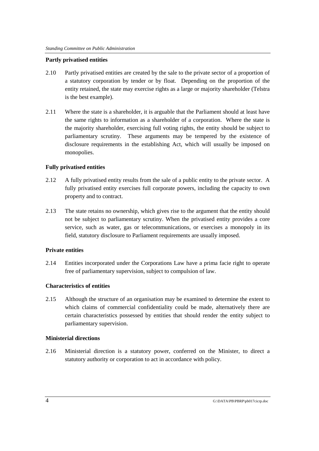#### **Partly privatised entities**

- 2.10 Partly privatised entities are created by the sale to the private sector of a proportion of a statutory corporation by tender or by float. Depending on the proportion of the entity retained, the state may exercise rights as a large or majority shareholder (Telstra is the best example).
- 2.11 Where the state is a shareholder, it is arguable that the Parliament should at least have the same rights to information as a shareholder of a corporation. Where the state is the majority shareholder, exercising full voting rights, the entity should be subject to parliamentary scrutiny. These arguments may be tempered by the existence of disclosure requirements in the establishing Act, which will usually be imposed on monopolies.

### **Fully privatised entities**

- 2.12 A fully privatised entity results from the sale of a public entity to the private sector. A fully privatised entity exercises full corporate powers, including the capacity to own property and to contract.
- 2.13 The state retains no ownership, which gives rise to the argument that the entity should not be subject to parliamentary scrutiny. When the privatised entity provides a core service, such as water, gas or telecommunications, or exercises a monopoly in its field, statutory disclosure to Parliament requirements are usually imposed.

#### **Private entities**

2.14 Entities incorporated under the Corporations Law have a prima facie right to operate free of parliamentary supervision, subject to compulsion of law.

#### **Characteristics of entities**

2.15 Although the structure of an organisation may be examined to determine the extent to which claims of commercial confidentiality could be made, alternatively there are certain characteristics possessed by entities that should render the entity subject to parliamentary supervision.

#### **Ministerial directions**

2.16 Ministerial direction is a statutory power, conferred on the Minister, to direct a statutory authority or corporation to act in accordance with policy.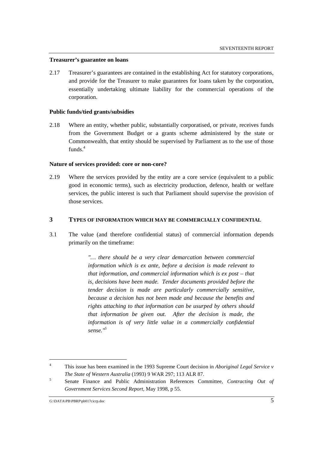#### **Treasurer's guarantee on loans**

2.17 Treasurer's guarantees are contained in the establishing Act for statutory corporations, and provide for the Treasurer to make guarantees for loans taken by the corporation, essentially undertaking ultimate liability for the commercial operations of the corporation.

#### **Public funds/tied grants/subsidies**

2.18 Where an entity, whether public, substantially corporatised, or private, receives funds from the Government Budget or a grants scheme administered by the state or Commonwealth, that entity should be supervised by Parliament as to the use of those funds $4$ 

#### **Nature of services provided: core or non-core?**

2.19 Where the services provided by the entity are a core service (equivalent to a public good in economic terms), such as electricity production, defence, health or welfare services, the public interest is such that Parliament should supervise the provision of those services.

## **3 TYPES OF INFORMATION WHICH MAY BE COMMERCIALLY CONFIDENTIAL**

3.1 The value (and therefore confidential status) of commercial information depends primarily on the timeframe:

> *"… there should be a very clear demarcation between commercial information which is ex ante, before a decision is made relevant to that information, and commercial information which is ex post – that is, decisions have been made. Tender documents provided before the tender decision is made are particularly commercially sensitive, because a decision has not been made and because the benefits and rights attaching to that information can be usurped by others should that information be given out. After the decision is made, the information is of very little value in a commercially confidential sense."5*

<sup>4</sup> This issue has been examined in the 1993 Supreme Court decision in *Aboriginal Legal Service v The State of Western Australia* (1993) 9 WAR 297; 113 ALR 87.

<sup>5</sup> Senate Finance and Public Administration References Committee, *Contracting Out of Government Services Second Report,* May 1998, p 55.

G:\DATA\PB\PBRP\pb017cicrp.doc 5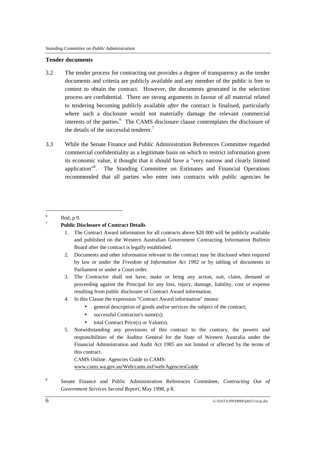#### **Tender documents**

- 3.2 The tender process for contracting out provides a degree of transparency as the tender documents and criteria are publicly available and any member of the public is free to contest to obtain the contract. However, the documents generated in the selection process are confidential. There are strong arguments in favour of all material related to tendering becoming publicly available *after* the contract is finalised, particularly where such a disclosure would not materially damage the relevant commercial interests of the parties.<sup>6</sup> The CAMS disclosure clause contemplates the disclosure of the details of the successful tenderer.<sup>7</sup>
- 3.3 While the Senate Finance and Public Administration References Committee regarded commercial confidentiality as a legitimate basis on which to restrict information given its economic value, it thought that it should have a "very narrow and clearly limited application<sup>"8</sup>. The Standing Committee on Estimates and Financial Operations recommended that all parties who enter into contracts with public agencies be

 $\overline{a}$ 

- 1. The Contract Award information for all contracts above \$20 000 will be publicly available and published on the Western Australian Government Contracting Information Bulletin Board after the contract is legally established.
- 2. Documents and other information relevant to the contract may be disclosed when required by law or under the *Freedom of Information Act 1992* or by tabling of documents in Parliament or under a Court order.
- 3. The Contractor shall not have, make or bring any action, suit, claim, demand or proceeding against the Principal for any loss, injury, damage, liability, cost or expense resulting from public disclosure of Contract Award information.
- 4. In this Clause the expression "Contract Award information" means:
	- general description of goods and/or services the subject of the contract;
	- successful Contractor's name(s);
	- total Contract Price(s) or Value(s).
- 5. Notwithstanding any provisions of this contract to the contrary, the powers and responsibilities of the Auditor General for the State of Western Australia under the Financial Administration and Audit Act 1985 are not limited or affected by the terms of this contract.

CAMS Online: Agencies Guide to CAMS: www.cams.wa.gov.au/Web/cams.nsf/web/AgenciesGuide

8 Senate Finance and Public Administration References Committee, *Contracting Out of Government Services Second Report,* May 1998, p 8.

<sup>6</sup> Ibid, p 9.

<sup>7</sup> **Public Disclosure of Contract Details**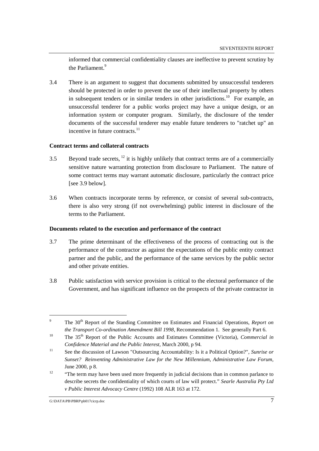informed that commercial confidentiality clauses are ineffective to prevent scrutiny by the Parliament.<sup>9</sup>

3.4 There is an argument to suggest that documents submitted by unsuccessful tenderers should be protected in order to prevent the use of their intellectual property by others in subsequent tenders or in similar tenders in other jurisdictions.<sup>10</sup> For example, an unsuccessful tenderer for a public works project may have a unique design, or an information system or computer program. Similarly, the disclosure of the tender documents of the successful tenderer may enable future tenderers to "ratchet up" an incentive in future contracts. $11$ 

### **Contract terms and collateral contracts**

- 3.5 Beyond trade secrets,  $^{12}$  it is highly unlikely that contract terms are of a commercially sensitive nature warranting protection from disclosure to Parliament. The nature of some contract terms may warrant automatic disclosure, particularly the contract price [see 3.9 below].
- 3.6 When contracts incorporate terms by reference, or consist of several sub-contracts, there is also very strong (if not overwhelming) public interest in disclosure of the terms to the Parliament.

#### **Documents related to the execution and performance of the contract**

- 3.7 The prime determinant of the effectiveness of the process of contracting out is the performance of the contractor as against the expectations of the public entity contract partner and the public, and the performance of the same services by the public sector and other private entities.
- 3.8 Public satisfaction with service provision is critical to the electoral performance of the Government, and has significant influence on the prospects of the private contractor in

<sup>9</sup> The 30<sup>th</sup> Report of the Standing Committee on Estimates and Financial Operations, *Report on the Transport Co-ordination Amendment Bill 1998*, Recommendation 1. See generally Part 6.

<sup>&</sup>lt;sup>10</sup> The 35<sup>th</sup> Report of the Public Accounts and Estimates Committee (Victoria), *Commercial in Confidence Material and the Public Interest,* March 2000, p 94.

<sup>11</sup> See the discussion of Lawson "Outsourcing Accountability: Is it a Political Option?", *Sunrise or Sunset? Reinventing Administrative Law for the New Millennium*, *Administrative Law Forum*, June 2000, p 8.

 $12$  "The term may have been used more frequently in judicial decisions than in common parlance to describe secrets the confidentiality of which courts of law will protect." *Searle Australia Pty Ltd v Public Interest Advocacy Centre* (1992) 108 ALR 163 at 172.

G:\DATA\PB\PBRP\pb017cicrp.doc 7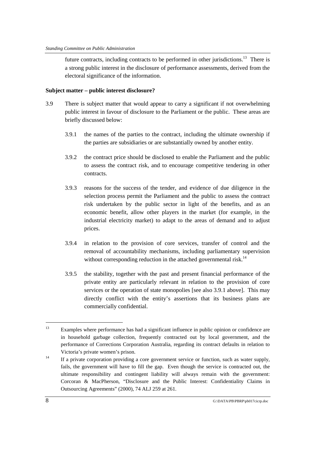future contracts, including contracts to be performed in other jurisdictions.<sup>13</sup> There is a strong public interest in the disclosure of performance assessments, derived from the electoral significance of the information.

### **Subject matter – public interest disclosure?**

- 3.9 There is subject matter that would appear to carry a significant if not overwhelming public interest in favour of disclosure to the Parliament or the public. These areas are briefly discussed below:
	- 3.9.1 the names of the parties to the contract, including the ultimate ownership if the parties are subsidiaries or are substantially owned by another entity.
	- 3.9.2 the contract price should be disclosed to enable the Parliament and the public to assess the contract risk, and to encourage competitive tendering in other contracts.
	- 3.9.3 reasons for the success of the tender, and evidence of due diligence in the selection process permit the Parliament and the public to assess the contract risk undertaken by the public sector in light of the benefits, and as an economic benefit, allow other players in the market (for example, in the industrial electricity market) to adapt to the areas of demand and to adjust prices.
	- 3.9.4 in relation to the provision of core services, transfer of control and the removal of accountability mechanisms, including parliamentary supervision without corresponding reduction in the attached governmental risk.<sup>14</sup>
	- 3.9.5 the stability, together with the past and present financial performance of the private entity are particularly relevant in relation to the provision of core services or the operation of state monopolies [see also 3.9.1 above]. This may directly conflict with the entity's assertions that its business plans are commercially confidential.

<sup>&</sup>lt;sup>13</sup> Examples where performance has had a significant influence in public opinion or confidence are in household garbage collection, frequently contracted out by local government, and the performance of Corrections Corporation Australia, regarding its contract defaults in relation to Victoria's private women's prison.

<sup>&</sup>lt;sup>14</sup> If a private corporation providing a core government service or function, such as water supply, fails, the government will have to fill the gap. Even though the service is contracted out, the ultimate responsibility and contingent liability will always remain with the government: Corcoran & MacPherson, "Disclosure and the Public Interest: Confidentiality Claims in Outsourcing Agreements" (2000), 74 ALJ 259 at 261.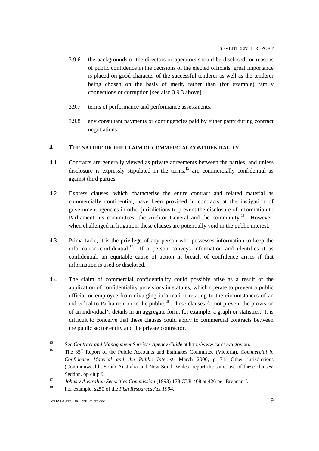- 3.9.6 the backgrounds of the directors or operators should be disclosed for reasons of public confidence in the decisions of the elected officials: great importance is placed on good character of the successful tenderer as well as the tenderer being chosen on the basis of merit, rather than (for example) family connections or corruption [see also 3.9.3 above].
- 3.9.7 terms of performance and performance assessments.
- 3.9.8 any consultant payments or contingencies paid by either party during contract negotiations.

### **4 THE NATURE OF THE CLAIM OF COMMERCIAL CONFIDENTIALITY**

- 4.1 Contracts are generally viewed as private agreements between the parties, and unless disclosure is expressly stipulated in the terms, $15$  are commercially confidential as against third parties.
- 4.2 Express clauses, which characterise the entire contract and related material as commercially confidential, have been provided in contracts at the instigation of government agencies in other jurisdictions to prevent the disclosure of information to Parliament, its committees, the Auditor General and the community.<sup>16</sup> However, when challenged in litigation, these clauses are potentially void in the public interest.
- 4.3 Prima facie, it is the privilege of any person who possesses information to keep the information confidential.<sup>17</sup> If a person conveys information and identifies it as confidential, an equitable cause of action in breach of confidence arises if that information is used or disclosed.
- 4.4 The claim of commercial confidentiality could possibly arise as a result of the application of confidentiality provisions in statutes, which operate to prevent a public official or employee from divulging information relating to the circumstances of an individual to Parliament or to the public.<sup>18</sup> These clauses do not prevent the provision of an individual's details in an aggregate form, for example, a graph or statistics. It is difficult to conceive that these clauses could apply to commercial contracts between the public sector entity and the private contractor.

<sup>&</sup>lt;sup>15</sup> See *Contract and Management Services Agency Guide* at http://www.cams.wa.gov.au.<br><sup>16</sup> The 25<sup>th</sup> Penert of the Public Accounts and Estimates Committee (Victoria), Com

<sup>16</sup> The 35th Report of the Public Accounts and Estimates Committee (Victoria), *Commercial in Confidence Material and the Public Interest*, March 2000, p 71. Other jurisdictions (Commonwealth, South Australia and New South Wales) report the same use of these clauses: Seddon, op cit p 9.

<sup>17</sup> *Johns v Australian Securities Commission* (1993) 178 CLR 408 at 426 per Brennan J.

<sup>18</sup> For example, s250 of the *Fish Resources Act 1994*.

G:\DATA\PB\PBRP\pb017cicrp.doc 9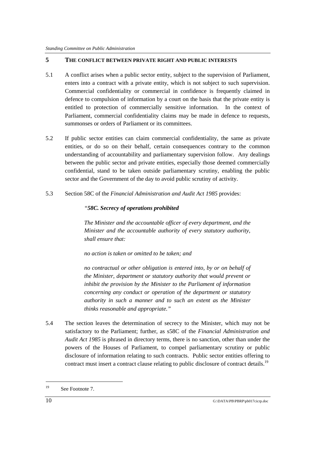# **5 THE CONFLICT BETWEEN PRIVATE RIGHT AND PUBLIC INTERESTS**

- 5.1 A conflict arises when a public sector entity, subject to the supervision of Parliament, enters into a contract with a private entity, which is not subject to such supervision. Commercial confidentiality or commercial in confidence is frequently claimed in defence to compulsion of information by a court on the basis that the private entity is entitled to protection of commercially sensitive information. In the context of Parliament, commercial confidentiality claims may be made in defence to requests, summonses or orders of Parliament or its committees.
- 5.2 If public sector entities can claim commercial confidentiality, the same as private entities, or do so on their behalf, certain consequences contrary to the common understanding of accountability and parliamentary supervision follow. Any dealings between the public sector and private entities, especially those deemed commercially confidential, stand to be taken outside parliamentary scrutiny, enabling the public sector and the Government of the day to avoid public scrutiny of activity.
- 5.3 Section 58C of the *Financial Administration and Audit Act 1985* provides:

### *"58C. Secrecy of operations prohibited*

*The Minister and the accountable officer of every department, and the Minister and the accountable authority of every statutory authority, shall ensure that:*

*no action is taken or omitted to be taken; and*

*no contractual or other obligation is entered into, by or on behalf of the Minister, department or statutory authority that would prevent or inhibit the provision by the Minister to the Parliament of information concerning any conduct or operation of the department or statutory authority in such a manner and to such an extent as the Minister thinks reasonable and appropriate."*

5.4 The section leaves the determination of secrecy to the Minister, which may not be satisfactory to the Parliament; further, as s58C of the *Financial Administration and Audit Act 1985* is phrased in directory terms, there is no sanction, other than under the powers of the Houses of Parliament, to compel parliamentary scrutiny or public disclosure of information relating to such contracts. Public sector entities offering to contract must insert a contract clause relating to public disclosure of contract details.<sup>19</sup>

<sup>&</sup>lt;sup>19</sup> See Footnote 7.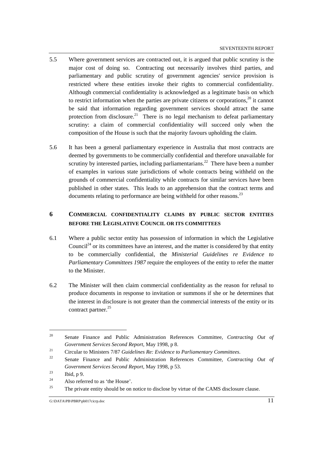- 5.5 Where government services are contracted out, it is argued that public scrutiny is the major cost of doing so. Contracting out necessarily involves third parties, and parliamentary and public scrutiny of government agencies' service provision is restricted where these entities invoke their rights to commercial confidentiality. Although commercial confidentiality is acknowledged as a legitimate basis on which to restrict information when the parties are private citizens or corporations, $^{20}$  it cannot be said that information regarding government services should attract the same protection from disclosure.<sup>21</sup> There is no legal mechanism to defeat parliamentary scrutiny: a claim of commercial confidentiality will succeed only when the composition of the House is such that the majority favours upholding the claim.
- 5.6 It has been a general parliamentary experience in Australia that most contracts are deemed by governments to be commercially confidential and therefore unavailable for scrutiny by interested parties, including parliamentarians.<sup>22</sup> There have been a number of examples in various state jurisdictions of whole contracts being withheld on the grounds of commercial confidentiality while contracts for similar services have been published in other states. This leads to an apprehension that the contract terms and documents relating to performance are being withheld for other reasons.<sup>23</sup>

# **6 COMMERCIAL CONFIDENTIALITY CLAIMS BY PUBLIC SECTOR ENTITIES BEFORE THE LEGISLATIVE COUNCIL OR ITS COMMITTEES**

- 6.1 Where a public sector entity has possession of information in which the Legislative Council<sup>24</sup> or its committees have an interest, and the matter is considered by that entity to be commercially confidential, the *Ministerial Guidelines re Evidence to Parliamentary Committees 1987* require the employees of the entity to refer the matter to the Minister.
- 6.2 The Minister will then claim commercial confidentiality as the reason for refusal to produce documents in response to invitation or summons if she or he determines that the interest in disclosure is not greater than the commercial interests of the entity or its contract partner.<sup>25</sup>

<sup>20</sup> Senate Finance and Public Administration References Committee, *Contracting Out of Government Services Second Report*, May 1998, p 8.

<sup>21</sup> Circular to Ministers 7/87 *Guidelines Re: Evidence to Parliamentary Committees*.

<sup>22</sup> Senate Finance and Public Administration References Committee, *Contracting Out of Government Services Second Report*, May 1998, p 53.

 $\frac{23}{24}$  Ibid, p 9.

<sup>&</sup>lt;sup>24</sup> Also referred to as 'the House'.

The private entity should be on notice to disclose by virtue of the CAMS disclosure clause.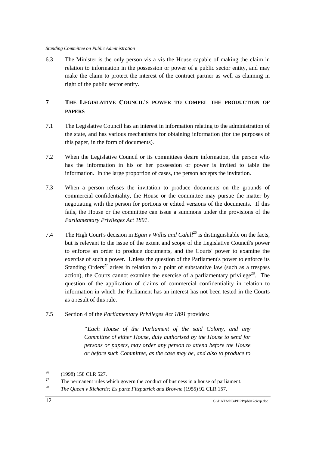6.3 The Minister is the only person vis a vis the House capable of making the claim in relation to information in the possession or power of a public sector entity, and may make the claim to protect the interest of the contract partner as well as claiming in right of the public sector entity.

# **7 THE LEGISLATIVE COUNCIL'S POWER TO COMPEL THE PRODUCTION OF PAPERS**

- 7.1 The Legislative Council has an interest in information relating to the administration of the state, and has various mechanisms for obtaining information (for the purposes of this paper, in the form of documents).
- 7.2 When the Legislative Council or its committees desire information, the person who has the information in his or her possession or power is invited to table the information. In the large proportion of cases, the person accepts the invitation.
- 7.3 When a person refuses the invitation to produce documents on the grounds of commercial confidentiality, the House or the committee may pursue the matter by negotiating with the person for portions or edited versions of the documents. If this fails, the House or the committee can issue a summons under the provisions of the *Parliamentary Privileges Act 1891*.
- 7.4 The High Court's decision in *Egan v Willis and Cahill*<sup>26</sup> is distinguishable on the facts, but is relevant to the issue of the extent and scope of the Legislative Council's power to enforce an order to produce documents, and the Courts' power to examine the exercise of such a power. Unless the question of the Parliament's power to enforce its Standing Orders<sup>27</sup> arises in relation to a point of substantive law (such as a trespass action), the Courts cannot examine the exercise of a parliamentary privilege<sup>28</sup>. The question of the application of claims of commercial confidentiality in relation to information in which the Parliament has an interest has not been tested in the Courts as a result of this rule.
- 7.5 Section 4 of the *Parliamentary Privileges Act 1891* provides:

*"Each House of the Parliament of the said Colony, and any Committee of either House, duly authorised by the House to send for persons or papers, may order any person to attend before the House or before such Committee, as the case may be, and also to produce to*

<sup>26 (1998) 158</sup> CLR 527.

<sup>&</sup>lt;sup>27</sup> The permanent rules which govern the conduct of business in a house of parliament.

<sup>28</sup> *The Queen v Richards; Ex parte Fitzpatrick and Browne* (1955) 92 CLR 157.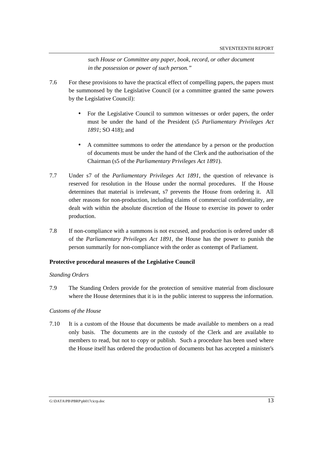*such House or Committee any paper, book, record, or other document in the possession or power of such person."*

- 7.6 For these provisions to have the practical effect of compelling papers, the papers must be summonsed by the Legislative Council (or a committee granted the same powers by the Legislative Council):
	- For the Legislative Council to summon witnesses or order papers, the order must be under the hand of the President (s5 *Parliamentary Privileges Act 1891*; SO 418); and
	- A committee summons to order the attendance by a person or the production of documents must be under the hand of the Clerk and the authorisation of the Chairman (s5 of the *Parliamentary Privileges Act 1891*).
- 7.7 Under s7 of the *Parliamentary Privileges Act 1891*, the question of relevance is reserved for resolution in the House under the normal procedures. If the House determines that material is irrelevant, s7 prevents the House from ordering it. All other reasons for non-production, including claims of commercial confidentiality, are dealt with within the absolute discretion of the House to exercise its power to order production.
- 7.8 If non-compliance with a summons is not excused, and production is ordered under s8 of the *Parliamentary Privileges Act 1891*, the House has the power to punish the person summarily for non-compliance with the order as contempt of Parliament.

#### **Protective procedural measures of the Legislative Council**

#### *Standing Orders*

7.9 The Standing Orders provide for the protection of sensitive material from disclosure where the House determines that it is in the public interest to suppress the information.

#### *Customs of the House*

7.10 It is a custom of the House that documents be made available to members on a read only basis. The documents are in the custody of the Clerk and are available to members to read, but not to copy or publish. Such a procedure has been used where the House itself has ordered the production of documents but has accepted a minister's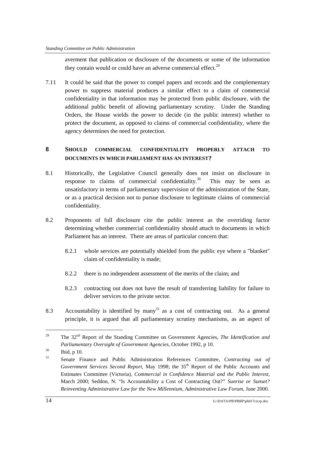averment that publication or disclosure of the documents or some of the information they contain would or could have an adverse commercial effect.<sup>29</sup>

7.11 It could be said that the power to compel papers and records and the complementary power to suppress material produces a similar effect to a claim of commercial confidentiality in that information may be protected from public disclosure, with the additional public benefit of allowing parliamentary scrutiny. Under the Standing Orders, the House wields the power to decide (in the public interest) whether to protect the document, as opposed to claims of commercial confidentiality, where the agency determines the need for protection.

# **8 SHOULD COMMERCIAL CONFIDENTIALITY PROPERLY ATTACH TO DOCUMENTS IN WHICH PARLIAMENT HAS AN INTEREST?**

- 8.1 Historically, the Legislative Council generally does not insist on disclosure in response to claims of commercial confidentiality.<sup>30</sup> This may be seen as unsatisfactory in terms of parliamentary supervision of the administration of the State, or as a practical decision not to pursue disclosure to legitimate claims of commercial confidentiality.
- 8.2 Proponents of full disclosure cite the public interest as the overriding factor determining whether commercial confidentiality should attach to documents in which Parliament has an interest. There are areas of particular concern that:
	- 8.2.1 whole services are potentially shielded from the public eye where a "blanket" claim of confidentiality is made;
	- 8.2.2 there is no independent assessment of the merits of the claim; and
	- 8.2.3 contracting out does not have the result of transferring liability for failure to deliver services to the private sector.
- 8.3 Accountability is identified by many<sup>31</sup> as a cost of contracting out. As a general principle, it is argued that all parliamentary scrutiny mechanisms, as an aspect of

<sup>&</sup>lt;sup>29</sup> The 32<sup>nd</sup> Report of the Standing Committee on Government Agencies, *The Identification and Parliamentary Oversight of Government Agencies*, October 1992, p 10.

 $^{30}$  Ibid, p 10.

<sup>31</sup> Senate Finance and Public Administration References Committee, *Contracting out of Government Services Second Report,* May 1998; the 35th Report of the Public Accounts and Estimates Committee (Victoria), *Commercial in Confidence Material and the Public Interest*, March 2000; Seddon, N. "Is Accountability a Cost of Contracting Out?" *Sunrise or Sunset? Reinventing Administrative Law for the New Millennium*, *Administrative Law Forum,* June 2000.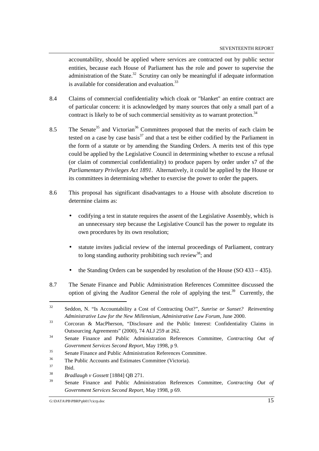accountability, should be applied where services are contracted out by public sector entities, because each House of Parliament has the role and power to supervise the administration of the State.<sup>32</sup> Scrutiny can only be meaningful if adequate information is available for consideration and evaluation.<sup>33</sup>

- 8.4 Claims of commercial confidentiality which cloak or "blanket" an entire contract are of particular concern: it is acknowledged by many sources that only a small part of a contract is likely to be of such commercial sensitivity as to warrant protection.<sup>34</sup>
- 8.5 The Senate<sup>35</sup> and Victorian<sup>36</sup> Committees proposed that the merits of each claim be tested on a case by case basis $37$  and that a test be either codified by the Parliament in the form of a statute or by amending the Standing Orders. A merits test of this type could be applied by the Legislative Council in determining whether to excuse a refusal (or claim of commercial confidentiality) to produce papers by order under s7 of the *Parliamentary Privileges Act 1891*. Alternatively, it could be applied by the House or its committees in determining whether to exercise the power to order the papers.
- 8.6 This proposal has significant disadvantages to a House with absolute discretion to determine claims as:
	- codifying a test in statute requires the assent of the Legislative Assembly, which is an unnecessary step because the Legislative Council has the power to regulate its own procedures by its own resolution;
	- statute invites judicial review of the internal proceedings of Parliament, contrary to long standing authority prohibiting such review<sup>38</sup>; and
	- the Standing Orders can be suspended by resolution of the House (SO 433 435).
- 8.7 The Senate Finance and Public Administration References Committee discussed the option of giving the Auditor General the role of applying the test.<sup>39</sup> Currently, the

<sup>32</sup> Seddon, N. "Is Accountability a Cost of Contracting Out?", *Sunrise or Sunset? Reinventing Administrative Law for the New Millennium*, *Administrative Law Forum*, June 2000.

<sup>33</sup> Corcoran & MacPherson, "Disclosure and the Public Interest: Confidentiality Claims in Outsourcing Agreements" (2000), 74 ALJ 259 at 262.

<sup>34</sup> Senate Finance and Public Administration References Committee, *Contracting Out of Government Services Second Report*, May 1998, p 9.

<sup>35</sup> Senate Finance and Public Administration References Committee.

<sup>36</sup> The Public Accounts and Estimates Committee (Victoria).

<sup>37</sup> Ibid.

<sup>38</sup> *Bradlaugh v Gossett* [1884] QB 271.

<sup>39</sup> Senate Finance and Public Administration References Committee, *Contracting Out of Government Services Second Report,* May 1998, p 69.

G:\DATA\PB\PBRP\pb017cicrp.doc 15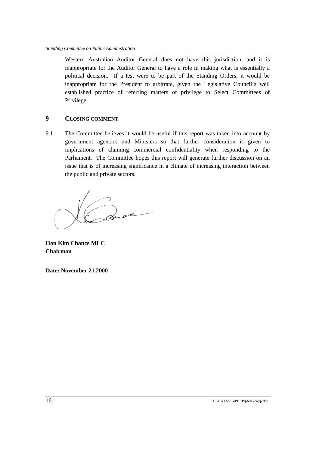Western Australian Auditor General does not have this jurisdiction, and it is inappropriate for the Auditor General to have a role in making what is essentially a political decision. If a test were to be part of the Standing Orders, it would be inappropriate for the President to arbitrate, given the Legislative Council's well established practice of referring matters of privilege to Select Committees of Privilege.

# **9 CLOSING COMMENT**

9.1 The Committee believes it would be useful if this report was taken into account by government agencies and Ministers so that further consideration is given to implications of claiming commercial confidentiality when responding to the Parliament. The Committee hopes this report will generate further discussion on an issue that is of increasing significance in a climate of increasing interaction between the public and private sectors.

**Hon Kim Chance MLC Chairman**

**Date: November 21 2000**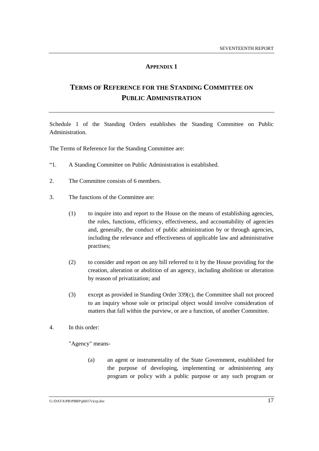# **APPENDIX 1**

# **TERMS OF REFERENCE FOR THE STANDING COMMITTEE ON PUBLIC ADMINISTRATION**

Schedule 1 of the Standing Orders establishes the Standing Committee on Public Administration.

The Terms of Reference for the Standing Committee are:

- "1. A Standing Committee on Public Administration is established.
- 2. The Committee consists of 6 members.
- 3. The functions of the Committee are:
	- (1) to inquire into and report to the House on the means of establishing agencies, the roles, functions, efficiency, effectiveness, and accountability of agencies and, generally, the conduct of public administration by or through agencies, including the relevance and effectiveness of applicable law and administrative practises;
	- (2) to consider and report on any bill referred to it by the House providing for the creation, alteration or abolition of an agency, including abolition or alteration by reason of privatization; and
	- (3) except as provided in Standing Order 339(c), the Committee shall not proceed to an inquiry whose sole or principal object would involve consideration of matters that fall within the purview, or are a function, of another Committee.
- 4. In this order:

"Agency" means-

(a) an agent or instrumentality of the State Government, established for the purpose of developing, implementing or administering any program or policy with a public purpose or any such program or

G:\DATA\PB\PBRP\pb017cicrp.doc 17